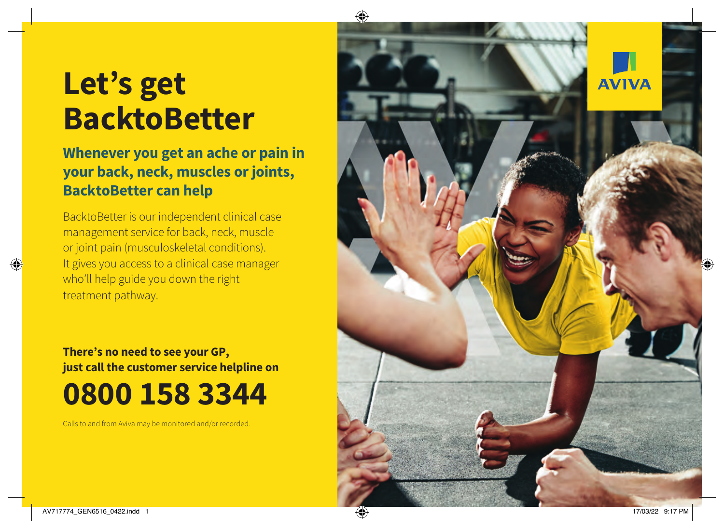## **Let's get BacktoBetter**

### **Whenever you get an ache or pain in your back, neck, muscles or joints, BacktoBetter can help**

BacktoBetter is our independent clinical case management service for back, neck, muscle or joint pain (musculoskeletal conditions). It gives you access to a clinical case manager who'll help guide you down the right treatment pathway.

### **There's no need to see your GP, just call the customer service helpline on 0800 158 3344**

Calls to and from Aviva may be monitored and/or recorded.